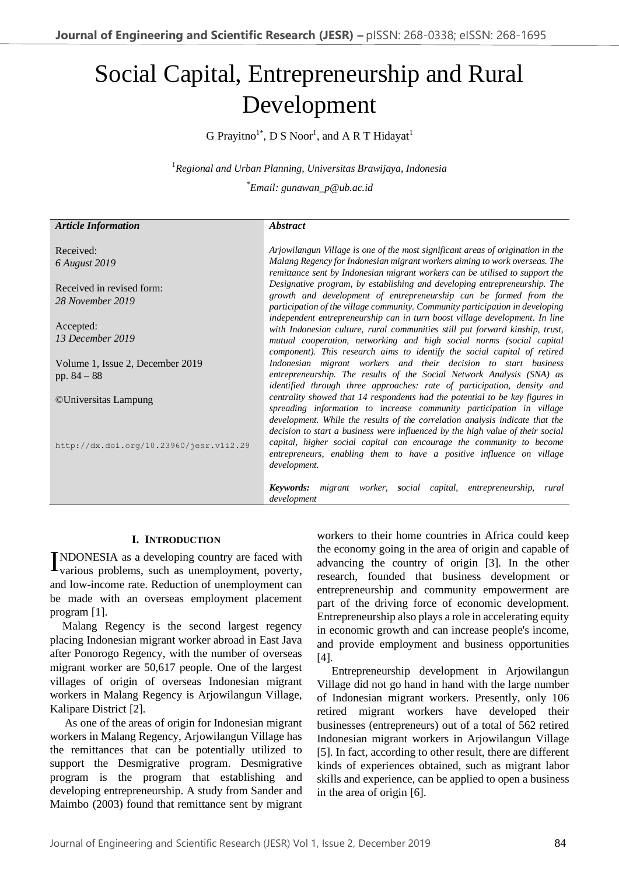# Social Capital, Entrepreneurship and Rural Development

G Prayitno<sup>1\*</sup>, D S Noor<sup>1</sup>, and A R T Hidayat<sup>1</sup>

<sup>1</sup>*Regional and Urban Planning, Universitas Brawijaya, Indonesia* 

\**Email: gunawan\_p@ub.ac.id*

#### *Article Information* Received: *6 August 2019* Received in revised form: *28 November 2019* Accepted: *13 December 2019* Volume 1, Issue 2, December 2019 pp. 84 – 88 ©Universitas Lampung http://dx.doi.org/10.23960/jesr.v1i2.29 *Abstract Arjowilangun Village is one of the most significant areas of origination in the Malang Regency for Indonesian migrant workers aiming to work overseas. The remittance sent by Indonesian migrant workers can be utilised to support the Designative program, by establishing and developing entrepreneurship. The growth and development of entrepreneurship can be formed from the participation of the village community. Community participation in developing independent entrepreneurship can in turn boost village development. In line with Indonesian culture, rural communities still put forward kinship, trust, mutual cooperation, networking and high social norms (social capital component). This research aims to identify the social capital of retired Indonesian migrant workers and their decision to start business entrepreneurship. The results of the Social Network Analysis (SNA) as identified through three approaches: rate of participation, density and centrality showed that 14 respondents had the potential to be key figures in spreading information to increase community participation in village development. While the results of the correlation analysis indicate that the decision to start a business were influenced by the high value of their social capital, higher social capital can encourage the community to become entrepreneurs, enabling them to have a positive influence on village development. Keywords: migrant worker, social capital, entrepreneurship, rural development*

#### **I. INTRODUCTION**

INDONESIA as a developing country are faced with various problems, such as unemployment, poverty, various problems, such as unemployment, poverty, and low-income rate. Reduction of unemployment can be made with an overseas employment placement program [1].

Malang Regency is the second largest regency placing Indonesian migrant worker abroad in East Java after Ponorogo Regency, with the number of overseas migrant worker are 50,617 people. One of the largest villages of origin of overseas Indonesian migrant workers in Malang Regency is Arjowilangun Village, Kalipare District [2].

As one of the areas of origin for Indonesian migrant workers in Malang Regency, Arjowilangun Village has the remittances that can be potentially utilized to support the Desmigrative program. Desmigrative program is the program that establishing and developing entrepreneurship. A study from Sander and Maimbo (2003) found that remittance sent by migrant

workers to their home countries in Africa could keep the economy going in the area of origin and capable of advancing the country of origin [3]. In the other research, founded that business development or entrepreneurship and community empowerment are part of the driving force of economic development. Entrepreneurship also plays a role in accelerating equity in economic growth and can increase people's income, and provide employment and business opportunities [4].

Entrepreneurship development in Arjowilangun Village did not go hand in hand with the large number of Indonesian migrant workers. Presently, only 106 retired migrant workers have developed their businesses (entrepreneurs) out of a total of 562 retired Indonesian migrant workers in Arjowilangun Village [5]. In fact, according to other result, there are different kinds of experiences obtained, such as migrant labor skills and experience, can be applied to open a business in the area of origin [6].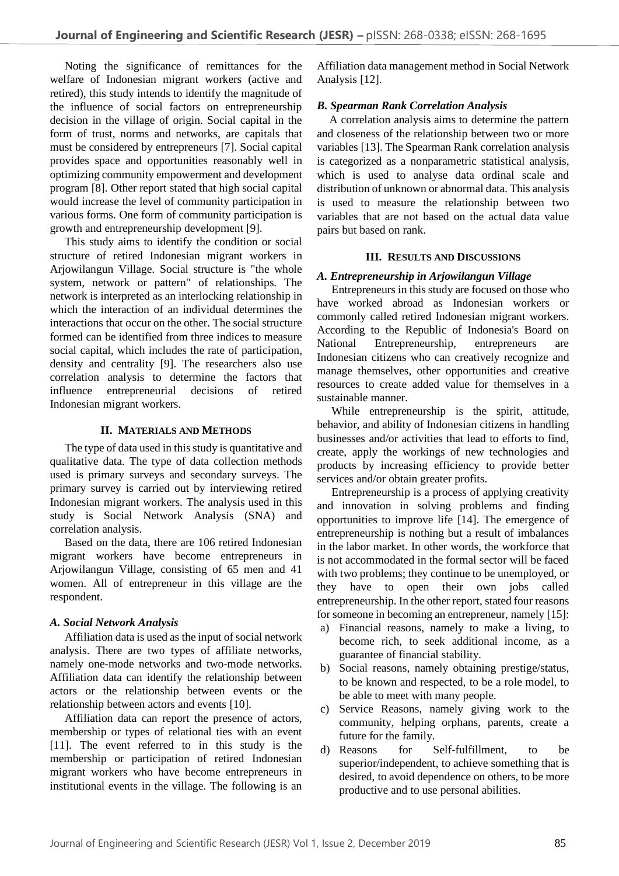Noting the significance of remittances for the welfare of Indonesian migrant workers (active and retired), this study intends to identify the magnitude of the influence of social factors on entrepreneurship decision in the village of origin. Social capital in the form of trust, norms and networks, are capitals that must be considered by entrepreneurs [7]. Social capital provides space and opportunities reasonably well in optimizing community empowerment and development program [8]. Other report stated that high social capital would increase the level of community participation in various forms. One form of community participation is growth and entrepreneurship development [9].

This study aims to identify the condition or social structure of retired Indonesian migrant workers in Arjowilangun Village. Social structure is "the whole system, network or pattern" of relationships. The network is interpreted as an interlocking relationship in which the interaction of an individual determines the interactions that occur on the other. The social structure formed can be identified from three indices to measure social capital, which includes the rate of participation, density and centrality [9]. The researchers also use correlation analysis to determine the factors that influence entrepreneurial decisions of retired Indonesian migrant workers.

#### **II. MATERIALS AND METHODS**

The type of data used in this study is quantitative and qualitative data. The type of data collection methods used is primary surveys and secondary surveys. The primary survey is carried out by interviewing retired Indonesian migrant workers. The analysis used in this study is Social Network Analysis (SNA) and correlation analysis.

Based on the data, there are 106 retired Indonesian migrant workers have become entrepreneurs in Arjowilangun Village, consisting of 65 men and 41 women. All of entrepreneur in this village are the respondent.

#### *A. Social Network Analysis*

Affiliation data is used as the input of social network analysis. There are two types of affiliate networks, namely one-mode networks and two-mode networks. Affiliation data can identify the relationship between actors or the relationship between events or the relationship between actors and events [10].

Affiliation data can report the presence of actors, membership or types of relational ties with an event [11]. The event referred to in this study is the membership or participation of retired Indonesian migrant workers who have become entrepreneurs in institutional events in the village. The following is an

Affiliation data management method in Social Network Analysis [12].

#### *B. Spearman Rank Correlation Analysis*

A correlation analysis aims to determine the pattern and closeness of the relationship between two or more variables [13]. The Spearman Rank correlation analysis is categorized as a nonparametric statistical analysis, which is used to analyse data ordinal scale and distribution of unknown or abnormal data. This analysis is used to measure the relationship between two variables that are not based on the actual data value pairs but based on rank.

#### **III. RESULTS AND DISCUSSIONS**

#### *A. Entrepreneurship in Arjowilangun Village*

Entrepreneurs in this study are focused on those who have worked abroad as Indonesian workers or commonly called retired Indonesian migrant workers. According to the Republic of Indonesia's Board on National Entrepreneurship, entrepreneurs are Indonesian citizens who can creatively recognize and manage themselves, other opportunities and creative resources to create added value for themselves in a sustainable manner.

While entrepreneurship is the spirit, attitude, behavior, and ability of Indonesian citizens in handling businesses and/or activities that lead to efforts to find, create, apply the workings of new technologies and products by increasing efficiency to provide better services and/or obtain greater profits.

Entrepreneurship is a process of applying creativity and innovation in solving problems and finding opportunities to improve life [14]. The emergence of entrepreneurship is nothing but a result of imbalances in the labor market. In other words, the workforce that is not accommodated in the formal sector will be faced with two problems; they continue to be unemployed, or they have to open their own jobs called entrepreneurship. In the other report, stated four reasons for someone in becoming an entrepreneur, namely [15]:

- a) Financial reasons, namely to make a living, to become rich, to seek additional income, as a guarantee of financial stability.
- b) Social reasons, namely obtaining prestige/status, to be known and respected, to be a role model, to be able to meet with many people.
- c) Service Reasons, namely giving work to the community, helping orphans, parents, create a future for the family.
- d) Reasons for Self-fulfillment, to be superior/independent, to achieve something that is desired, to avoid dependence on others, to be more productive and to use personal abilities.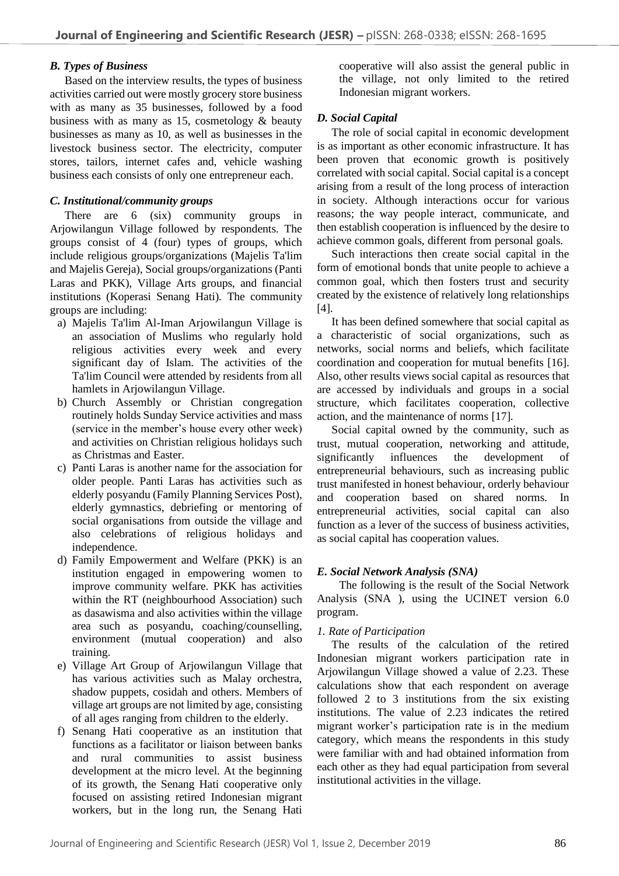#### *B. Types of Business*

Based on the interview results, the types of business activities carried out were mostly grocery store business with as many as 35 businesses, followed by a food business with as many as 15, cosmetology & beauty businesses as many as 10, as well as businesses in the livestock business sector. The electricity, computer stores, tailors, internet cafes and, vehicle washing business each consists of only one entrepreneur each.

#### *C. Institutional/community groups*

There are 6 (six) community groups in Arjowilangun Village followed by respondents. The groups consist of 4 (four) types of groups, which include religious groups/organizations (Majelis Ta'lim and Majelis Gereja), Social groups/organizations (Panti Laras and PKK), Village Arts groups, and financial institutions (Koperasi Senang Hati). The community groups are including:

- a) Majelis Ta'lim Al-Iman Arjowilangun Village is an association of Muslims who regularly hold religious activities every week and every significant day of Islam. The activities of the Ta'lim Council were attended by residents from all hamlets in Arjowilangun Village.
- b) Church Assembly or Christian congregation routinely holds Sunday Service activities and mass (service in the member's house every other week) and activities on Christian religious holidays such as Christmas and Easter.
- c) Panti Laras is another name for the association for older people. Panti Laras has activities such as elderly posyandu (Family Planning Services Post), elderly gymnastics, debriefing or mentoring of social organisations from outside the village and also celebrations of religious holidays and independence.
- d) Family Empowerment and Welfare (PKK) is an institution engaged in empowering women to improve community welfare. PKK has activities within the RT (neighbourhood Association) such as dasawisma and also activities within the village area such as posyandu, coaching/counselling, environment (mutual cooperation) and also training.
- e) Village Art Group of Arjowilangun Village that has various activities such as Malay orchestra, shadow puppets, cosidah and others. Members of village art groups are not limited by age, consisting of all ages ranging from children to the elderly.
- f) Senang Hati cooperative as an institution that functions as a facilitator or liaison between banks and rural communities to assist business development at the micro level. At the beginning of its growth, the Senang Hati cooperative only focused on assisting retired Indonesian migrant workers, but in the long run, the Senang Hati

cooperative will also assist the general public in the village, not only limited to the retired Indonesian migrant workers.

## *D. Social Capital*

The role of social capital in economic development is as important as other economic infrastructure. It has been proven that economic growth is positively correlated with social capital. Social capital is a concept arising from a result of the long process of interaction in society. Although interactions occur for various reasons; the way people interact, communicate, and then establish cooperation is influenced by the desire to achieve common goals, different from personal goals.

Such interactions then create social capital in the form of emotional bonds that unite people to achieve a common goal, which then fosters trust and security created by the existence of relatively long relationships [4].

It has been defined somewhere that social capital as a characteristic of social organizations, such as networks, social norms and beliefs, which facilitate coordination and cooperation for mutual benefits [16]. Also, other results views social capital as resources that are accessed by individuals and groups in a social structure, which facilitates cooperation, collective action, and the maintenance of norms [17].

Social capital owned by the community, such as trust, mutual cooperation, networking and attitude, significantly influences the development of entrepreneurial behaviours, such as increasing public trust manifested in honest behaviour, orderly behaviour and cooperation based on shared norms. In entrepreneurial activities, social capital can also function as a lever of the success of business activities, as social capital has cooperation values.

## *E. Social Network Analysis (SNA)*

The following is the result of the Social Network Analysis (SNA ), using the UCINET version 6.0 program.

## *1. Rate of Participation*

The results of the calculation of the retired Indonesian migrant workers participation rate in Arjowilangun Village showed a value of 2.23. These calculations show that each respondent on average followed 2 to 3 institutions from the six existing institutions. The value of 2.23 indicates the retired migrant worker's participation rate is in the medium category, which means the respondents in this study were familiar with and had obtained information from each other as they had equal participation from several institutional activities in the village.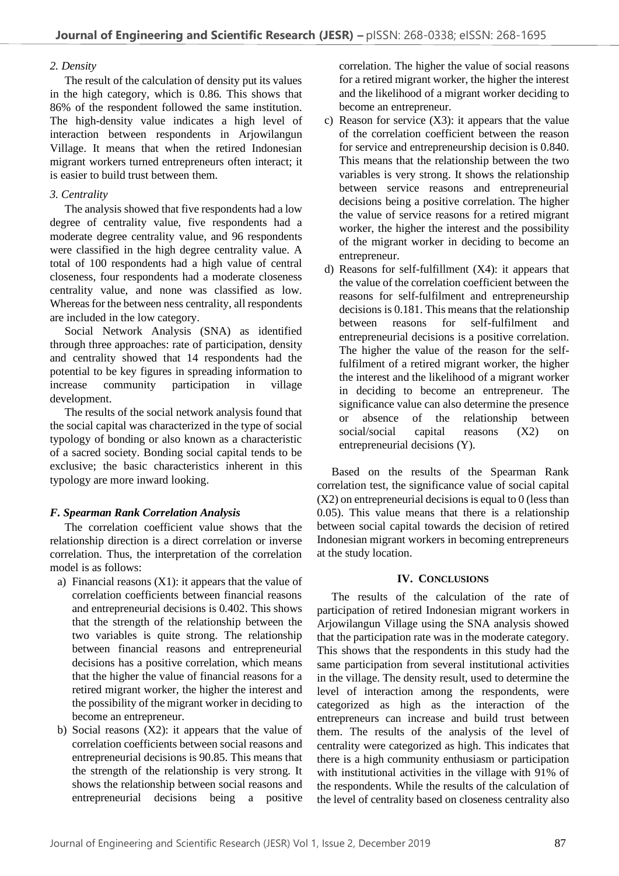#### *2. Density*

The result of the calculation of density put its values in the high category, which is 0.86. This shows that 86% of the respondent followed the same institution. The high-density value indicates a high level of interaction between respondents in Arjowilangun Village. It means that when the retired Indonesian migrant workers turned entrepreneurs often interact; it is easier to build trust between them.

## *3. Centrality*

The analysis showed that five respondents had a low degree of centrality value, five respondents had a moderate degree centrality value, and 96 respondents were classified in the high degree centrality value. A total of 100 respondents had a high value of central closeness, four respondents had a moderate closeness centrality value, and none was classified as low. Whereas for the between ness centrality, all respondents are included in the low category.

Social Network Analysis (SNA) as identified through three approaches: rate of participation, density and centrality showed that 14 respondents had the potential to be key figures in spreading information to increase community participation in village development.

The results of the social network analysis found that the social capital was characterized in the type of social typology of bonding or also known as a characteristic of a sacred society. Bonding social capital tends to be exclusive; the basic characteristics inherent in this typology are more inward looking.

# *F. Spearman Rank Correlation Analysis*

The correlation coefficient value shows that the relationship direction is a direct correlation or inverse correlation. Thus, the interpretation of the correlation model is as follows:

- a) Financial reasons  $(X1)$ : it appears that the value of correlation coefficients between financial reasons and entrepreneurial decisions is 0.402. This shows that the strength of the relationship between the two variables is quite strong. The relationship between financial reasons and entrepreneurial decisions has a positive correlation, which means that the higher the value of financial reasons for a retired migrant worker, the higher the interest and the possibility of the migrant worker in deciding to become an entrepreneur.
- b) Social reasons (X2): it appears that the value of correlation coefficients between social reasons and entrepreneurial decisions is 90.85. This means that the strength of the relationship is very strong. It shows the relationship between social reasons and entrepreneurial decisions being a positive

correlation. The higher the value of social reasons for a retired migrant worker, the higher the interest and the likelihood of a migrant worker deciding to become an entrepreneur.

- c) Reason for service  $(X3)$ : it appears that the value of the correlation coefficient between the reason for service and entrepreneurship decision is 0.840. This means that the relationship between the two variables is very strong. It shows the relationship between service reasons and entrepreneurial decisions being a positive correlation. The higher the value of service reasons for a retired migrant worker, the higher the interest and the possibility of the migrant worker in deciding to become an entrepreneur.
- d) Reasons for self-fulfillment (X4): it appears that the value of the correlation coefficient between the reasons for self-fulfilment and entrepreneurship decisions is 0.181. This means that the relationship between reasons for self-fulfilment and entrepreneurial decisions is a positive correlation. The higher the value of the reason for the selffulfilment of a retired migrant worker, the higher the interest and the likelihood of a migrant worker in deciding to become an entrepreneur. The significance value can also determine the presence or absence of the relationship between social/social capital reasons (X2) on entrepreneurial decisions (Y).

Based on the results of the Spearman Rank correlation test, the significance value of social capital (X2) on entrepreneurial decisions is equal to 0 (less than 0.05). This value means that there is a relationship between social capital towards the decision of retired Indonesian migrant workers in becoming entrepreneurs at the study location.

## **IV. CONCLUSIONS**

The results of the calculation of the rate of participation of retired Indonesian migrant workers in Arjowilangun Village using the SNA analysis showed that the participation rate was in the moderate category. This shows that the respondents in this study had the same participation from several institutional activities in the village. The density result, used to determine the level of interaction among the respondents, were categorized as high as the interaction of the entrepreneurs can increase and build trust between them. The results of the analysis of the level of centrality were categorized as high. This indicates that there is a high community enthusiasm or participation with institutional activities in the village with 91% of the respondents. While the results of the calculation of the level of centrality based on closeness centrality also